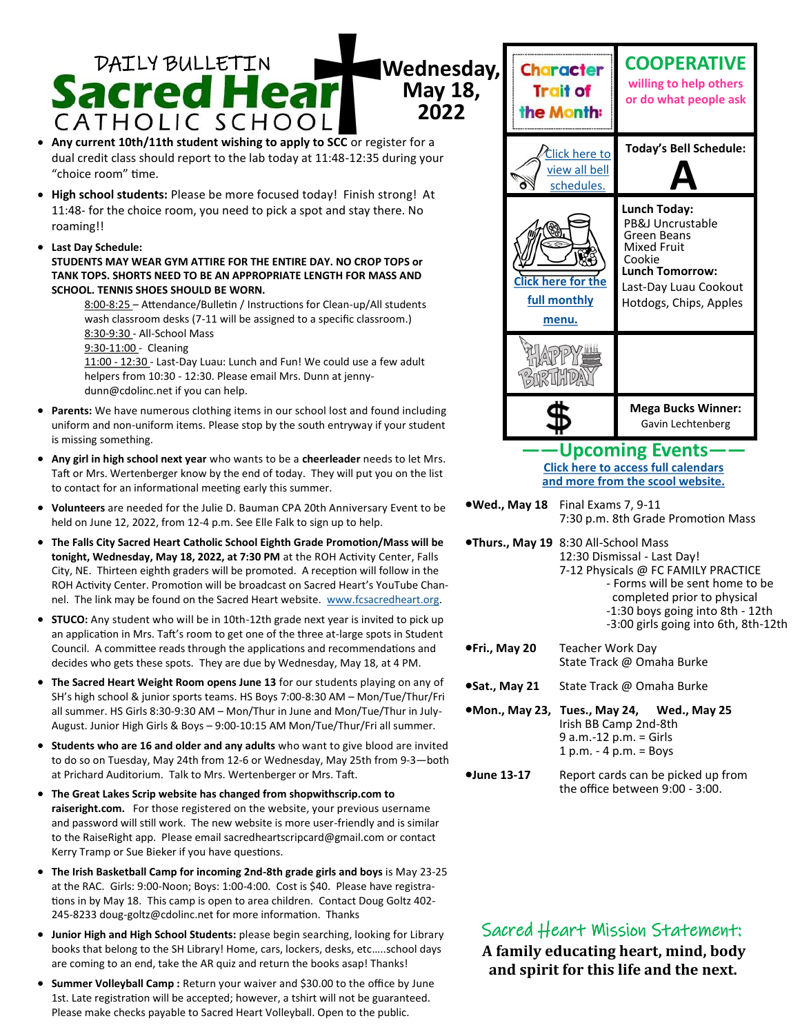## **Sacred Hear** Wednesday, **May 18, 2022** CATHOLIC SCHOOL

- **Any current 10th/11th student wishing to apply to SCC** or register for a dual credit class should report to the lab today at 11:48-12:35 during your "choice room" time.
- **High school students:** Please be more focused today! Finish strong! At 11:48- for the choice room, you need to pick a spot and stay there. No roaming!!
- **Last Day Schedule:**

**STUDENTS MAY WEAR GYM ATTIRE FOR THE ENTIRE DAY. NO CROP TOPS or TANK TOPS. SHORTS NEED TO BE AN APPROPRIATE LENGTH FOR MASS AND SCHOOL. TENNIS SHOES SHOULD BE WORN.**

8:00-8:25 – Attendance/Bulletin / Instructions for Clean-up/All students wash classroom desks (7-11 will be assigned to a specific classroom.) 8:30-9:30 - All-School Mass

9:30-11:00 - Cleaning

11:00 - 12:30 - Last-Day Luau: Lunch and Fun! We could use a few adult helpers from 10:30 - 12:30. Please email Mrs. Dunn at jennydunn@cdolinc.net if you can help.

- **Parents:** We have numerous clothing items in our school lost and found including uniform and non-uniform items. Please stop by the south entryway if your student is missing something.
- **Any girl in high school next year** who wants to be a **cheerleader** needs to let Mrs. Taft or Mrs. Wertenberger know by the end of today. They will put you on the list to contact for an informational meeting early this summer.
- **Volunteers** are needed for the Julie D. Bauman CPA 20th Anniversary Event to be held on June 12, 2022, from 12-4 p.m. See Elle Falk to sign up to help.
- **The Falls City Sacred Heart Catholic School Eighth Grade Promotion/Mass will be tonight, Wednesday, May 18, 2022, at 7:30 PM** at the ROH Activity Center, Falls City, NE. Thirteen eighth graders will be promoted. A reception will follow in the ROH Activity Center. Promotion will be broadcast on Sacred Heart's YouTube Channel. The link may be found on the Sacred Heart website. [www.fcsacredheart.org.](http://www.fcsacredheart.org)
- **STUCO:** Any student who will be in 10th-12th grade next year is invited to pick up an application in Mrs. Taft's room to get one of the three at-large spots in Student Council. A committee reads through the applications and recommendations and decides who gets these spots. They are due by Wednesday, May 18, at 4 PM.
- **The Sacred Heart Weight Room opens June 13** for our students playing on any of SH's high school & junior sports teams. HS Boys 7:00-8:30 AM – Mon/Tue/Thur/Fri all summer. HS Girls 8:30-9:30 AM – Mon/Thur in June and Mon/Tue/Thur in July-August. Junior High Girls & Boys – 9:00-10:15 AM Mon/Tue/Thur/Fri all summer.
- **Students who are 16 and older and any adults** who want to give blood are invited to do so on Tuesday, May 24th from 12-6 or Wednesday, May 25th from 9-3—both at Prichard Auditorium. Talk to Mrs. Wertenberger or Mrs. Taft.
- **The Great Lakes Scrip website has changed from shopwithscrip.com to raiseright.com.** For those registered on the website, your previous username and password will still work. The new website is more user-friendly and is similar to the RaiseRight app. Please email sacredheartscripcard@gmail.com or contact Kerry Tramp or Sue Bieker if you have questions.
- **The Irish Basketball Camp for incoming 2nd-8th grade girls and boys** is May 23-25 at the RAC. Girls: 9:00-Noon; Boys: 1:00-4:00. Cost is \$40. Please have registrations in by May 18. This camp is open to area children. Contact Doug Goltz 402- 245-8233 doug-goltz@cdolinc.net for more information. Thanks
- **Junior High and High School Students:** please begin searching, looking for Library books that belong to the SH Library! Home, cars, lockers, desks, etc…..school days are coming to an end, take the AR quiz and return the books asap! Thanks!
- **Summer Volleyball Camp :** Return your waiver and \$30.00 to the office by June 1st. Late registration will be accepted; however, a tshirt will not be guaranteed. Please make checks payable to Sacred Heart Volleyball. Open to the public.



**[Click here to access full calendars](https://fcsacredheart.org/bulletin/)  [and more from the scool website.](https://fcsacredheart.org/bulletin/)**

- **Wed., May 18** Final Exams 7, 9-11 7:30 p.m. 8th Grade Promotion Mass
- **Thurs., May 19** 8:30 All-School Mass 12:30 Dismissal - Last Day! 7-12 Physicals @ FC FAMILY PRACTICE - Forms will be sent home to be completed prior to physical -1:30 boys going into 8th - 12th -3:00 girls going into 6th, 8th-12th
- **Fri., May 20** Teacher Work Day State Track @ Omaha Burke **Sat., May 21** State Track @ Omaha Burke
- **Mon., May 23, Tues., May 24, Wed., May 25** Irish BB Camp 2nd-8th 9 a.m.-12 p.m. = Girls 1 p.m.  $-$  4 p.m.  $=$  Boys
- **June 13-17** Report cards can be picked up from the office between 9:00 - 3:00.

## Sacred Heart Mission Statement:

 **A family educating heart, mind, body and spirit for this life and the next.**